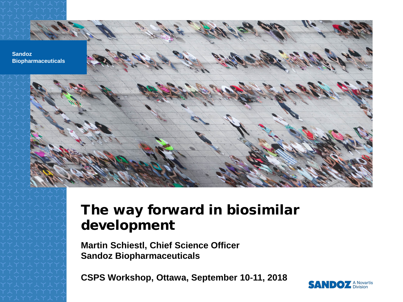

#### The way forward in biosimilar development

**Martin Schiestl, Chief Science Officer Sandoz Biopharmaceuticals** 

**CSPS Workshop, Ottawa, September 10**‐**11, 2018**

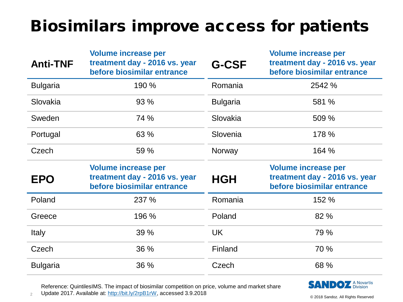### Biosimilars improve access for patients

| <b>Anti-TNF</b> | <b>Volume increase per</b><br>treatment day - 2016 vs. year<br>before biosimilar entrance | <b>G-CSF</b>    | <b>Volume increase per</b><br>treatment day - 2016 vs. year<br>before biosimilar entrance |
|-----------------|-------------------------------------------------------------------------------------------|-----------------|-------------------------------------------------------------------------------------------|
| <b>Bulgaria</b> | 190 %                                                                                     | Romania         | 2542 %                                                                                    |
| Slovakia        | 93 %                                                                                      | <b>Bulgaria</b> | 581 %                                                                                     |
| Sweden          | 74 %                                                                                      | Slovakia        | 509 %                                                                                     |
| Portugal        | 63 %                                                                                      | Slovenia        | 178 %                                                                                     |
| Czech           | 59 %                                                                                      | Norway          | 164 %                                                                                     |
|                 |                                                                                           |                 |                                                                                           |
| <b>EPO</b>      | <b>Volume increase per</b><br>treatment day - 2016 vs. year<br>before biosimilar entrance | <b>HGH</b>      | <b>Volume increase per</b><br>treatment day - 2016 vs. year<br>before biosimilar entrance |
| Poland          | 237 %                                                                                     | Romania         | 152 %                                                                                     |
| Greece          | 196 %                                                                                     | Poland          | 82 %                                                                                      |
| <b>Italy</b>    | 39 %                                                                                      | <b>UK</b>       | 79 %                                                                                      |
| Czech           | 36 %                                                                                      | Finland         | 70 %                                                                                      |



Reference: QuintilesIMS. The impact of biosimilar competition on price, volume and market share

2 Update 2017. Available at: <http://bit.ly/2rpB1rW>, accessed 3.9.2018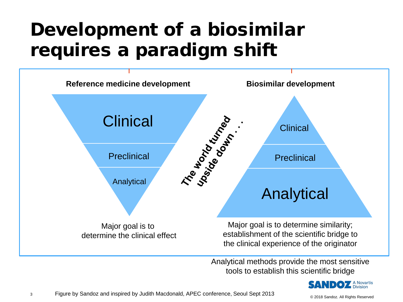# Development of a biosimilar requires a paradigm shift



Analytical methods provide the most sensitive tools to establish this scientific bridge

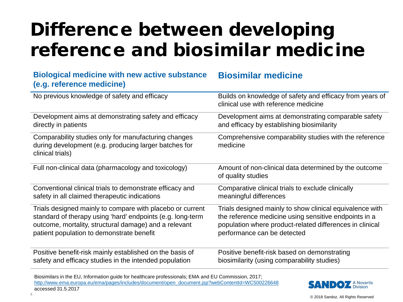# Difference between developing reference and biosimilar medicine

**Biosimilar medicine**

| <b>DIVIUYILAI IIIEUILIIIE WILII IIEW ALIIVE SUDSIAIILE</b><br>(e.g. reference medicine)                                           | <b>DIOSHINI</b> di Medicine                                                                      |
|-----------------------------------------------------------------------------------------------------------------------------------|--------------------------------------------------------------------------------------------------|
| No previous knowledge of safety and efficacy                                                                                      | Builds on knowledge of safety and efficacy from years of<br>clinical use with reference medicine |
| Development aims at demonstrating safety and efficacy                                                                             | Development aims at demonstrating comparable safety                                              |
| directly in patients                                                                                                              | and efficacy by establishing biosimilarity                                                       |
| Comparability studies only for manufacturing changes<br>during development (e.g. producing larger batches for<br>clinical trials) | Comprehensive comparability studies with the reference<br>medicine                               |
| Full non-clinical data (pharmacology and toxicology)                                                                              | Amount of non-clinical data determined by the outcome<br>of quality studies                      |
| Conventional clinical trials to demonstrate efficacy and                                                                          | Comparative clinical trials to exclude clinically                                                |
| safety in all claimed therapeutic indications                                                                                     | meaningful differences                                                                           |
| Trials designed mainly to compare with placebo or current                                                                         | Trials designed mainly to show clinical equivalence with                                         |
| standard of therapy using 'hard' endpoints (e.g. long-term                                                                        | the reference medicine using sensitive endpoints in a                                            |
| outcome, mortality, structural damage) and a relevant                                                                             | population where product-related differences in clinical                                         |
| patient population to demonstrate benefit                                                                                         | performance can be detected                                                                      |
| Positive benefit-risk mainly established on the basis of                                                                          | Positive benefit-risk based on demonstrating                                                     |
| safety and efficacy studies in the intended population                                                                            | biosimilarity (using comparability studies)                                                      |

Biosimilars in the EU, Information guide for healthcare professionals; EMA and EU Commission, 2017; [http://www.ema.europa.eu/ema/pages/includes/document/open\\_document.jsp?webContentId=WC500226648](http://www.ema.europa.eu/ema/pages/includes/document/open_document.jsp?webContentId=WC500226648)  accessed 31.5.2017

**Biological medicine with new active substance** 

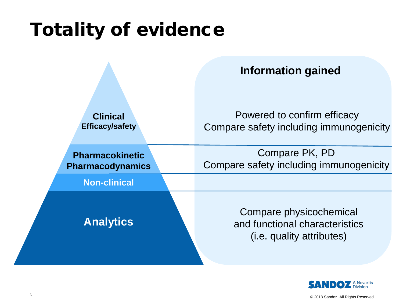# Totality of evidence



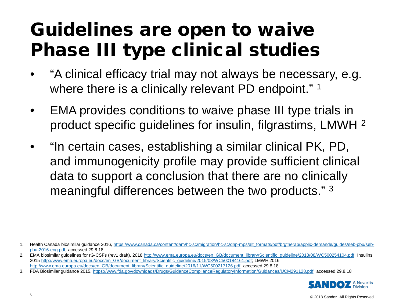# Guidelines are open to waive Phase III type clinical studies

- "A clinical efficacy trial may not always be necessary, e.g. where there is a clinically relevant PD endpoint."<sup>1</sup>
- EMA provides conditions to waive phase III type trials in product specific guidelines for insulin, filgrastims, LMWH 2
- "In certain cases, establishing a similar clinical PK, PD, and immunogenicity profile may provide sufficient clinical data to support a conclusion that there are no clinically meaningful differences between the two products." 3

<sup>3.</sup> FDA Biosimilar guidance 2015, <https://www.fda.gov/downloads/Drugs/GuidanceComplianceRegulatoryInformation/Guidances/UCM291128.pdf>, accessed 29.8.18



<sup>1.</sup> Health Canada biosimilar guidance 2016, [https://www.canada.ca/content/dam/hc-sc/migration/hc-sc/dhp-mps/alt\\_formats/pdf/brgtherap/applic-demande/guides/seb-pbu/seb](https://www.canada.ca/content/dam/hc-sc/migration/hc-sc/dhp-mps/alt_formats/pdf/brgtherap/applic-demande/guides/seb-pbu/seb-pbu-2016-eng.pdf)[pbu-2016-eng.pdf,](https://www.canada.ca/content/dam/hc-sc/migration/hc-sc/dhp-mps/alt_formats/pdf/brgtherap/applic-demande/guides/seb-pbu/seb-pbu-2016-eng.pdf) accessed 29.8.18

<sup>2.</sup> EMA biosimilar quidelines for rG-CSFs (rev1 draft), 2018 [http://www.ema.europa.eu/docs/en\\_GB/document\\_library/Scientific\\_guideline/2018/08/WC500254104.pdf](http://www.ema.europa.eu/docs/en_GB/document_library/Scientific_guideline/2018/08/WC500254104.pdf); Insulins 2015 [http://www.ema.europa.eu/docs/en\\_GB/document\\_library/Scientific\\_guideline/2015/03/WC500184161.pdf;](http://www.ema.europa.eu/docs/en_GB/document_library/Scientific_guideline/2015/03/WC500184161.pdf) LMWH 2016 [http://www.ema.europa.eu/docs/en\\_GB/document\\_library/Scientific\\_guideline/2016/11/WC500217126.pdf;](http://www.ema.europa.eu/docs/en_GB/document_library/Scientific_guideline/2016/11/WC500217126.pdf) accessed 29.8.18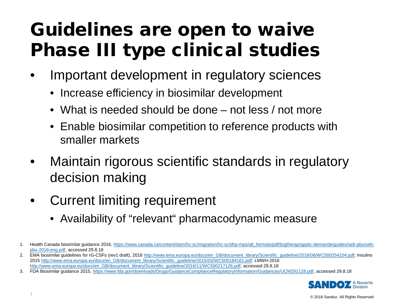# Guidelines are open to waive Phase III type clinical studies

- Important development in regulatory sciences
	- Increase efficiency in biosimilar development
	- What is needed should be done not less / not more
	- Enable biosimilar competition to reference products with smaller markets
- Maintain rigorous scientific standards in regulatory decision making
- Current limiting requirement
	- Availability of "relevant" pharmacodynamic measure

<sup>3.</sup> FDA Biosimilar guidance 2015, <https://www.fda.gov/downloads/Drugs/GuidanceComplianceRegulatoryInformation/Guidances/UCM291128.pdf>, accessed 29.8.18



<sup>1.</sup> Health Canada biosimilar guidance 2016, [https://www.canada.ca/content/dam/hc-sc/migration/hc-sc/dhp-mps/alt\\_formats/pdf/brgtherap/applic-demande/guides/seb-pbu/seb](https://www.canada.ca/content/dam/hc-sc/migration/hc-sc/dhp-mps/alt_formats/pdf/brgtherap/applic-demande/guides/seb-pbu/seb-pbu-2016-eng.pdf)[pbu-2016-eng.pdf,](https://www.canada.ca/content/dam/hc-sc/migration/hc-sc/dhp-mps/alt_formats/pdf/brgtherap/applic-demande/guides/seb-pbu/seb-pbu-2016-eng.pdf) accessed 29.8.18

<sup>2.</sup> EMA biosimilar quidelines for rG-CSFs (rev1 draft), 2018 [http://www.ema.europa.eu/docs/en\\_GB/document\\_library/Scientific\\_guideline/2018/08/WC500254104.pdf](http://www.ema.europa.eu/docs/en_GB/document_library/Scientific_guideline/2018/08/WC500254104.pdf); Insulins 2015 [http://www.ema.europa.eu/docs/en\\_GB/document\\_library/Scientific\\_guideline/2015/03/WC500184161.pdf;](http://www.ema.europa.eu/docs/en_GB/document_library/Scientific_guideline/2015/03/WC500184161.pdf) LMWH 2016 [http://www.ema.europa.eu/docs/en\\_GB/document\\_library/Scientific\\_guideline/2016/11/WC500217126.pdf;](http://www.ema.europa.eu/docs/en_GB/document_library/Scientific_guideline/2016/11/WC500217126.pdf) accessed 29.8.18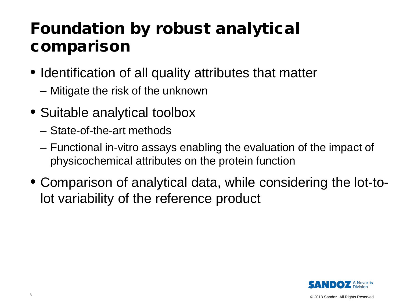### Foundation by robust analytical comparison

- Identification of all quality attributes that matter
	- Mitigate the risk of the unknown
- Suitable analytical toolbox
	- State-of-the-art methods
	- Functional in-vitro assays enabling the evaluation of the impact of physicochemical attributes on the protein function
- Comparison of analytical data, while considering the lot-tolot variability of the reference product



8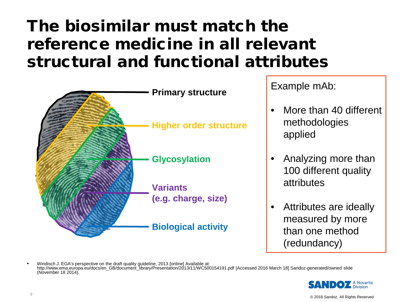### The biosimilar must match the reference medicine in all relevant structural and functional attributes



Example mAb:

- More than 40 different methodologies applied
- Analyzing more than 100 different quality attributes
- Attributes are ideally measured by more than one method (redundancy)

• Windisch J. EGA's perspective on the draft quality guideline, 2013 [online] Available at: http://www.ema.europa.eu/docs/en\_GB/document\_library/Presentation/2013/11/WC500154191.pdf [Accessed 2016 March 18] Sandoz-generated/owned slide (November 18 2014).

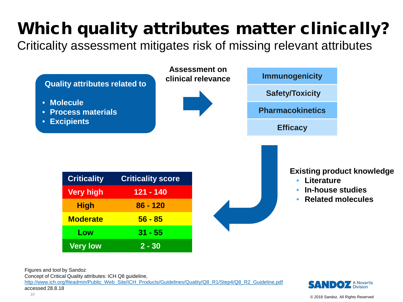# Which quality attributes matter clinically?

Criticality assessment mitigates risk of missing relevant attributes



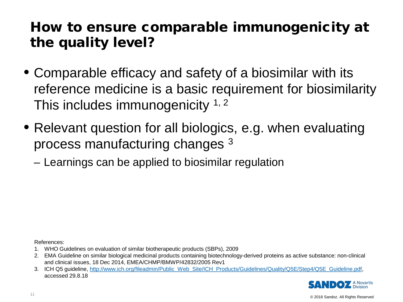### How to ensure comparable immunogenicity at the quality level?

- Comparable efficacy and safety of a biosimilar with its reference medicine is a basic requirement for biosimilarity This includes immunogenicity  $1, 2$
- Relevant question for all biologics, e.g. when evaluating process manufacturing changes 3
	- Learnings can be applied to biosimilar regulation

References:

- 1. WHO Guidelines on evaluation of similar biotherapeutic products (SBPs), 2009
- 2. EMA Guideline on similar biological medicinal products containing biotechnology-derived proteins as active substance: non-clinical and clinical issues, 18 Dec 2014, EMEA/CHMP/BMWP/42832/2005 Rev1
- 3. ICH Q5 guideline, [http://www.ich.org/fileadmin/Public\\_Web\\_Site/ICH\\_Products/Guidelines/Quality/Q5E/Step4/Q5E\\_Guideline.pdf,](http://www.ich.org/fileadmin/Public_Web_Site/ICH_Products/Guidelines/Quality/Q5E/Step4/Q5E_Guideline.pdf) accessed 29.8.18

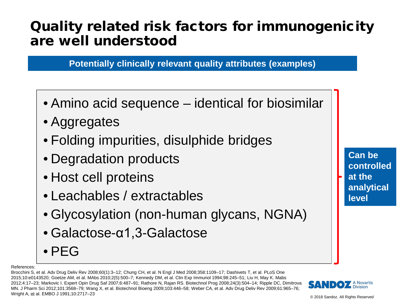### Quality related risk factors for immunogenicity are well understood

**Potentially clinically relevant quality attributes (examples)** 

- Amino acid sequence identical for biosimilar
- Aggregates
- Folding impurities, disulphide bridges
- Degradation products
- Host cell proteins
- Leachables / extractables
- Glycosylation (non-human glycans, NGNA)
- Galactose-α1,3-Galactose
- PEG

References:

Brocchini S, et al. Adv Drug Deliv Rev 2008;60(1):3–12; Chung CH, et al. N Engl J Med 2008;358:1109–17; Dashivets T, et al. PLoS One 2015;10:e0143520; Goetze AM, et al. MAbs 2010;2(5):500–7; Kennedy DM, et al. Clin Exp Immunol 1994;98:245–51; Liu H, May K. Mabs 2012;4:17–23; Markovic I. Expert Opin Drug Saf 2007;6:487–91; Rathore N, Rajan RS. Biotechnol Prog 2008;24(3):504–14; Ripple DC, Dimitrova MN. J Pharm Sci 2012;101:3568–79; Wang X, et al. Biotechnol Bioeng 2009;103:446–58; Weber CA, et al. Adv Drug Deliv Rev 2009;61:965–76; Wright A, et al. EMBO J 1991;10:2717–23



**Can be controlled at the analytical level**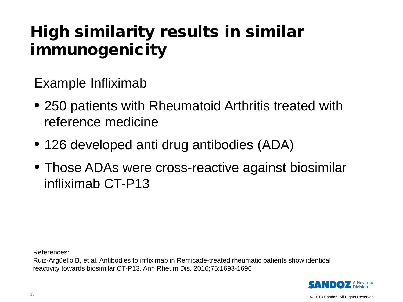### High similarity results in similar immunogenicity

Example Infliximab

- 250 patients with Rheumatoid Arthritis treated with reference medicine
- 126 developed anti drug antibodies (ADA)
- Those ADAs were cross-reactive against biosimilar infliximab CT-P13

References:

Ruiz-Argüello B, et al. Antibodies to infliximab in Remicade-treated rheumatic patients show identical reactivity towards biosimilar CT-P13. Ann Rheum Dis. 2016;75:1693-1696

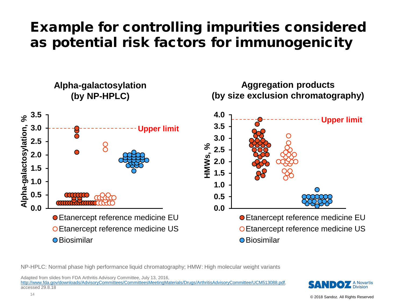### Example for controlling impurities considered as potential risk factors for immunogenicity



NP-HPLC: Normal phase high performance liquid chromatography; HMW: High molecular weight variants

Adapted from slides from FDA Arthritis Advisory Committee, July 13, 2016, <http://www.fda.gov/downloads/AdvisoryCommittees/CommitteesMeetingMaterials/Drugs/ArthritisAdvisoryCommittee/UCM513088.pdf>, accessed 29.8.18

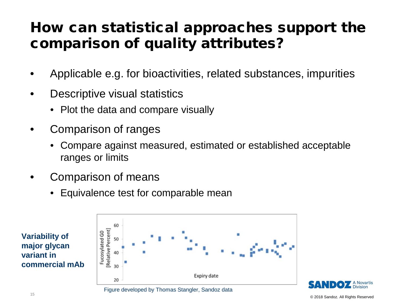### How can statistical approaches support the comparison of quality attributes?

- Applicable e.g. for bioactivities, related substances, impurities
- Descriptive visual statistics
	- Plot the data and compare visually
- Comparison of ranges
	- Compare against measured, estimated or established acceptable ranges or limits
- Comparison of means
	- Equivalence test for comparable mean





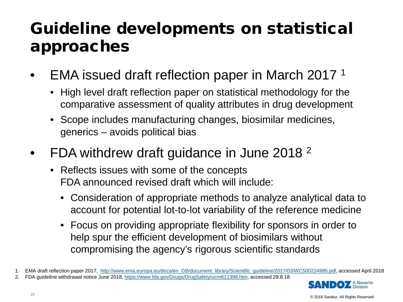### Guideline developments on statistical approaches

- EMA issued draft reflection paper in March 2017 1
	- High level draft reflection paper on statistical methodology for the comparative assessment of quality attributes in drug development
	- Scope includes manufacturing changes, biosimilar medicines, generics – avoids political bias
- FDA withdrew draft guidance in June 2018<sup>2</sup>
	- Reflects issues with some of the concepts FDA announced revised draft which will include:
		- Consideration of appropriate methods to analyze analytical data to account for potential lot-to-lot variability of the reference medicine
		- Focus on providing appropriate flexibility for sponsors in order to help spur the efficient development of biosimilars without compromising the agency's rigorous scientific standards

2. FDA guideline withdrawal notice June 2018,<https://www.fda.gov/Drugs/DrugSafety/ucm611398.htm>, accessed 29.8.18



<sup>© 2018</sup> Sandoz. All Rights Reserved

<sup>1.</sup> EMA draft reflection paper 2017, [http://www.ema.europa.eu/docs/en\\_GB/document\\_library/Scientific\\_guideline/2017/03/WC500224995.pdf](http://www.ema.europa.eu/docs/en_GB/document_library/Scientific_guideline/2017/03/WC500224995.pdf), accessed April 2018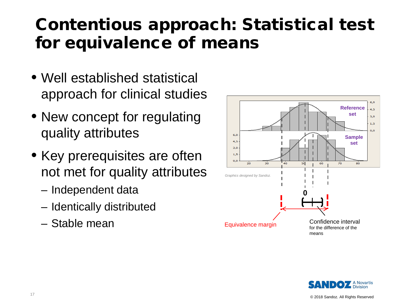## Contentious approach: Statistical test for equivalence of means

- Well established statistical approach for clinical studies
- New concept for regulating quality attributes
- Key prerequisites are often not met for quality attributes
	- Independent data
	- Identically distributed
	- Stable mean



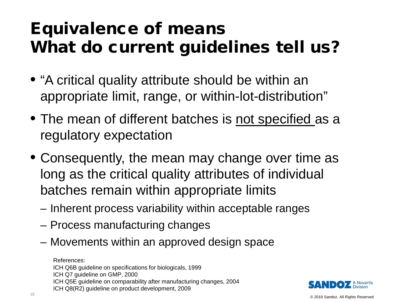## Equivalence of means What do current guidelines tell us?

- "A critical quality attribute should be within an appropriate limit, range, or within-lot-distribution"
- The mean of different batches is not specified as a regulatory expectation
- Consequently, the mean may change over time as long as the critical quality attributes of individual batches remain within appropriate limits
	- Inherent process variability within acceptable ranges
	- Process manufacturing changes
	- Movements within an approved design space

References: ICH Q6B guideline on specifications for biologicals, 1999 ICH Q7 guideline on GMP, 2000 ICH Q5E guideline on comparability after manufacturing changes, 2004 ICH Q8(R2) guideline on product development, 2009

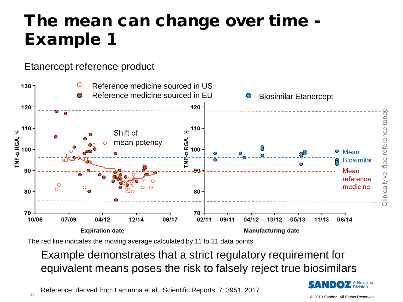### The mean can change over time - Example 1

#### Etanercept reference product



The red line indicates the moving average calculated by 11 to 21 data points

#### Example demonstrates that a strict regulatory requirement for equivalent means poses the risk to falsely reject true biosimilars



Reference: derived from Lamanna et al., Scientific Reports, 7: 3951, 2017 of the contract of the contract of the contract of the contract of the contract of the contract of the contract of the contract of the contract of the contract of the contract of the contract of the contract of the contrac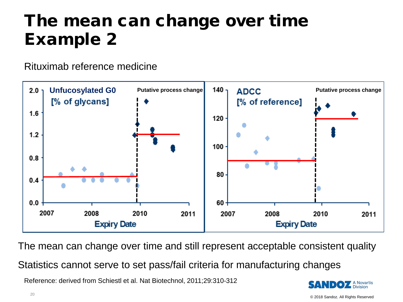## The mean can change over time Example 2

Rituximab reference medicine



The mean can change over time and still represent acceptable consistent quality Statistics cannot serve to set pass/fail criteria for manufacturing changes

Reference: derived from Schiestl et al. Nat Biotechnol, 2011;29:310-312

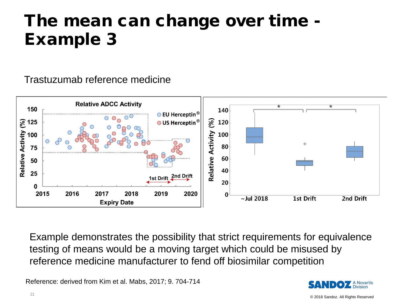### The mean can change over time - Example 3

Trastuzumab reference medicine



Example demonstrates the possibility that strict requirements for equivalence testing of means would be a moving target which could be misused by reference medicine manufacturer to fend off biosimilar competition

Reference: derived from Kim et al. Mabs, 2017; 9. 704-714

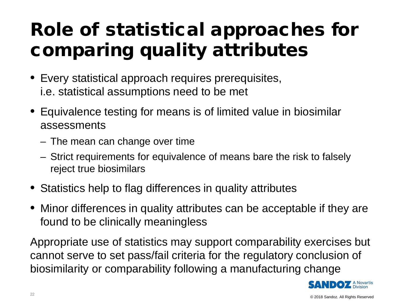# Role of statistical approaches for comparing quality attributes

- Every statistical approach requires prerequisites, i.e. statistical assumptions need to be met
- Equivalence testing for means is of limited value in biosimilar assessments
	- The mean can change over time
	- Strict requirements for equivalence of means bare the risk to falsely reject true biosimilars
- Statistics help to flag differences in quality attributes
- Minor differences in quality attributes can be acceptable if they are found to be clinically meaningless

Appropriate use of statistics may support comparability exercises but cannot serve to set pass/fail criteria for the regulatory conclusion of biosimilarity or comparability following a manufacturing change

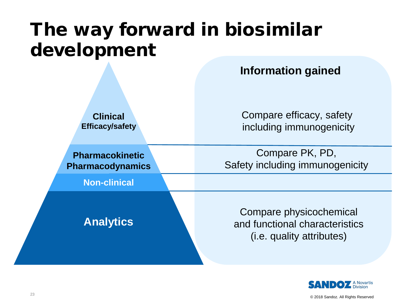# The way forward in biosimilar development

**Information gained**

**Clinical Efficacy/safety** Compare efficacy, safety including immunogenicity

**Pharmacokinetic Pharmacodynamics**

**Non-clinical**

**Analytics**

Compare PK, PD, Safety including immunogenicity

Compare physicochemical and functional characteristics (i.e. quality attributes)